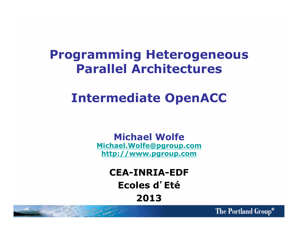#### **Programming Heterogeneous Parallel Architectures**

## **Intermediate OpenACC**

**Michael Wolfe Michael.Wolfe@pgroup.com http://www.pgroup.com**

> **CEA-INRIA-EDF**  Ecoles d'Eté **2013**

> > The Portland Group®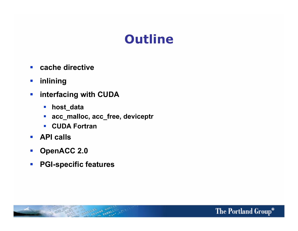### **Outline**

- ! **cache directive**
- ! **inlining**
- $\blacksquare$  interfacing with CUDA
	- ! **host\_data**
	- ! **acc\_malloc, acc\_free, deviceptr**
	- ! **CUDA Fortran**
- ! **API calls**
- ! **OpenACC 2.0**
- ! **PGI-specific features**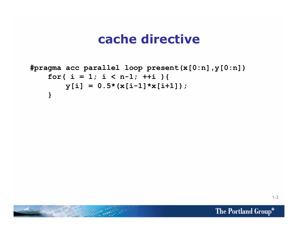```
#pragma acc parallel loop present(x[0:n],y[0:n]) 
    for( i = 1; i < n-1; ++i ){
        y[i] = 0.5*(x[i-1]*x[i+1]); }
```
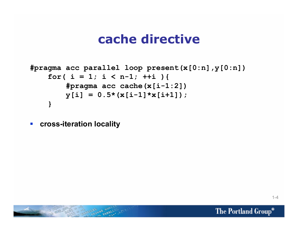```
#pragma acc parallel loop present(x[0:n],y[0:n]) 
    for( i = 1; i < n-1; ++i ){
         #pragma acc cache(x[i-1:2]) 
        y[i] = 0.5*(x[i-1]*x[i+1]); }
```
! **cross-iteration locality** 

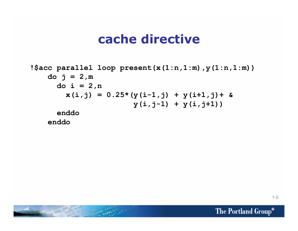```
!$acc parallel loop present(x(1:n,1:m),y(1:n,1:m)) 
     do j = 2,m 
       do i = 2,n 
        x(i,j) = 0.25*(y(i-1,j) + y(i+1,j)) + \&y(i, j-1) + y(i, j+1) enddo 
     enddo
```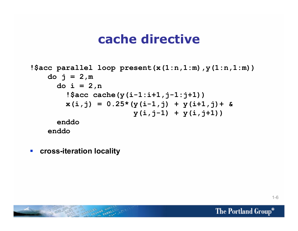```
!$acc parallel loop present(x(1:n,1:m),y(1:n,1:m)) 
    do j = 2, m do i = 2,n 
         !$acc cache(y(i-1:i+1,j-1:j+1)) 
        x(i,j) = 0.25*(y(i-1,j) + y(i+1,j)) + \&y(i, j-1) + y(i, j+1) enddo 
     enddo
```
! **cross-iteration locality** 

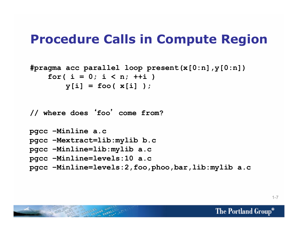## **Procedure Calls in Compute Region**

```
#pragma acc parallel loop present(x[0:n],y[0:n]) 
     for( i = 0; i < n; ++i ) 
       v[i] = foo(x[i])
```
**// where does foo**- **come from?** 

```
pgcc –Minline a.c 
pgcc –Mextract=lib:mylib b.c 
pgcc –Minline=lib:mylib a.c 
pgcc –Minline=levels:10 a.c 
pgcc –Minline=levels:2,foo,phoo,bar,lib:mylib a.c
```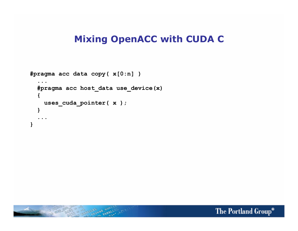#### **Mixing OpenACC with CUDA C**

```
#pragma acc data copy( x[0:n] ) 
 ... 
   #pragma acc host_data use_device(x) 
   { 
     uses_cuda_pointer( x ); 
   } 
 ... 
}
```
Captain Constitution of the Constitution

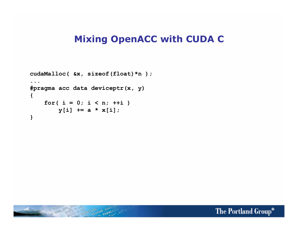#### **Mixing OpenACC with CUDA C**

```
cudaMalloc( &x, sizeof(float)*n ); 
... 
#pragma acc data deviceptr(x, y) 
{ 
    for( i = 0; i < n; ++i)
        y[i] += a * x[i];
}
```
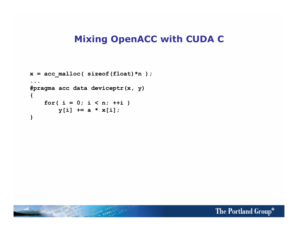#### **Mixing OpenACC with CUDA C**

```
x = acc malloc( sizeof(float)*n );
... 
#pragma acc data deviceptr(x, y) 
{ 
    for( i = 0; i < n; ++i)
        y[i] += a * x[i];
}
```
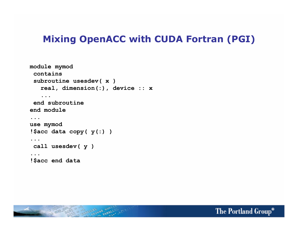#### **Mixing OpenACC with CUDA Fortran (PGI)**

```
module mymod 
  contains 
  subroutine usesdev( x ) 
    real, dimension(:), device :: x 
...
  end subroutine 
end module 
... 
use mymod 
!$acc data copy( y(:) ) 
... 
  call usesdev( y ) 
... 
!$acc end data
```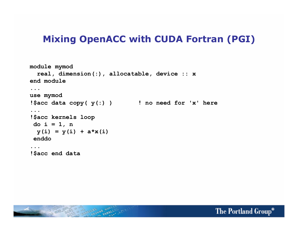#### **Mixing OpenACC with CUDA Fortran (PGI)**

```
module mymod 
   real, dimension(:), allocatable, device :: x
end module 
... 
use mymod 
!$acc data copy( y(:) ) ! no need for 'x' here 
... 
!$acc kernels loop 
  do i = 1, n 
 y(i) = y(i) + a*x(i) enddo 
... 
!$acc end data
```
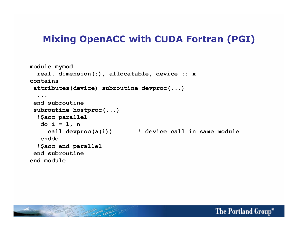#### **Mixing OpenACC with CUDA Fortran (PGI)**

```
module mymod 
   real, dimension(:), allocatable, device :: x 
contains 
  attributes(device) subroutine devproc(...) 
 ... 
  end subroutine 
  subroutine hostproc(...) 
   !$acc parallel 
    do i = 1, n 
      call devproc(a(i)) ! device call in same module 
    enddo 
   !$acc end parallel 
  end subroutine
end module
```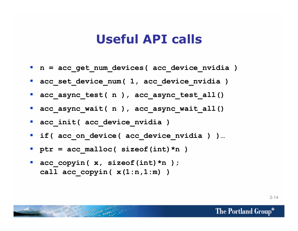#### **Useful API calls**

- **n** = acc get num devices ( acc device nvidia )
- **acc** set device num ( 1, acc device nvidia )
- **acc** async test( n ), acc async test all()
- **acc** async wait( n ), acc async wait all()
- **acc\_init( acc\_device\_nvidia )**
- ! **if( acc\_on\_device( acc\_device\_nvidia ) )…**
- $\blacksquare$  ptr = acc malloc( sizeof(int)\*n )
- **acc\_copyin( x, sizeof(int)\*n ); call acc\_copyin( x(1:n,1:m) )**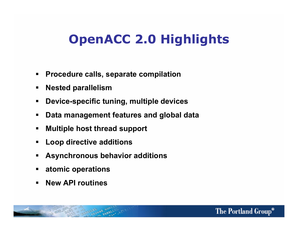# **OpenACC 2.0 Highlights**

- ! **Procedure calls, separate compilation**
- ! **Nested parallelism**
- ! **Device-specific tuning, multiple devices**
- ! **Data management features and global data**
- ! **Multiple host thread support**
- ! **Loop directive additions**
- ! **Asynchronous behavior additions**
- ! **atomic operations**
- ! **New API routines**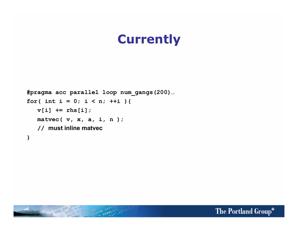## **Currently**

```
#pragma acc parallel loop num_gangs(200)… 
for( int i = 0; i < n; ++i ){
  v[i] += rhs[i];
   matvec( v, x, a, i, n ); 
   // must inline matvec 
}
```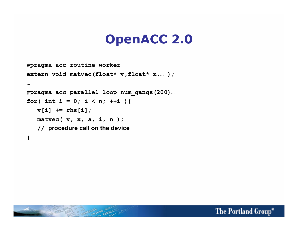## **OpenACC 2.0**

```
#pragma acc routine worker 
extern void matvec(float* v,float* x,...);
… 
#pragma acc parallel loop num_gangs(200)… 
for( int i = 0; i < n; ++i ){
  v[i] += rhs[i];
   matvec( v, x, a, i, n ); 
    // procedure call on the device 
}
```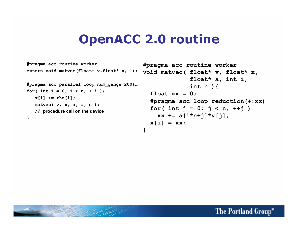#### **OpenACC 2.0 routine**

```
#pragma acc routine worker 
extern void matvec(float* v,float* x,… ); 
… 
#pragma acc parallel loop num_gangs(200)… 
for( int i = 0; i < n; ++i ){
  v[i] += rhs[i];
   matvec( v, x, a, i, n ); 
    // procedure call on the device 
}
```

```
#pragma acc routine worker 
void matvec( float* v, float* x, 
                float* a, int i, 
                int n ){ 
   float xx = 0; 
   #pragma acc loop reduction(+:xx) 
   for( int j = 0; j < n; ++j ) 
    xx += a[i*n+j]*v[i];\mathbf{x}[i] = \mathbf{x}}
```
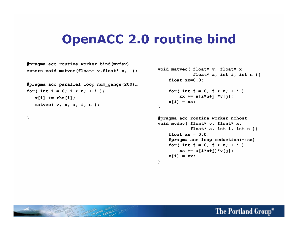#### **OpenACC 2.0 routine bind**

**}** 

```
#pragma acc routine worker bind(mvdev) 
extern void matvec(float* v, float* x,...);
… 
#pragma acc parallel loop num_gangs(200)… 
for( int i = 0; i < n; ++i ){
  v[i] += rhs[i];
   matvec( v, x, a, i, n );
```

```
}
```

```
void matvec( float* v, float* x, 
               float* a, int i, int n ){ 
     float xx=0.0;
```

```
 for( int j = 0; j < n; ++j ) 
   xx += a[i*n+j]*v[j];x[i] = xx;
```

```
#pragma acc routine worker nohost 
void mvdev( float* v, float* x, 
             float* a, int i, int n ){ 
    float xx = 0.0; #pragma acc loop reduction(+:xx) 
     for( int j = 0; j < n; ++j ) 
        xx += a[i*n+j]*v[j];x[i] = xx;}
```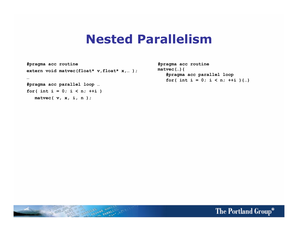#### **Nested Parallelism**

```
#pragma acc routine 
extern void matvec(float* v,float* x,...);
… 
#pragma acc parallel loop … 
for( int i = 0; i < n; ++i ) 
   matvec( v, x, i, n );
```

```
#pragma acc routine 
matvec(…){ 
    #pragma acc parallel loop 
   for( int i = 0; i < n; ++i ) {...}
```
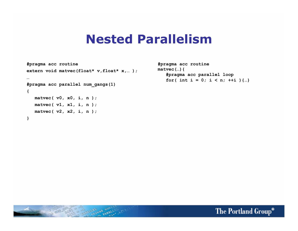#### **Nested Parallelism**

```
#pragma acc routine 
extern void matvec(float* v,float* x,...);
… 
#pragma acc parallel num_gangs(1) 
{ 
   matvec( v0, x0, i, n ); 
   matvec( v1, x1, i, n ); 
   matvec( v2, x2, i, n ); 
}
```

```
#pragma acc routine 
matvec(…){ 
    #pragma acc parallel loop 
   for( int i = 0; i < n; ++i ) {...}
```
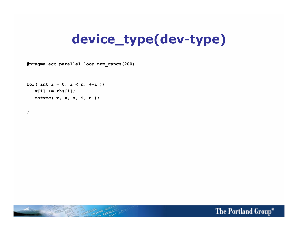# **device\_type(dev-type)**

**#pragma acc parallel loop num\_gangs(200)** 

for( int i =  $0;$  i < n;  $++i$  ){  $v[i]$   $\neq$   $rhs[i]$ ;  **matvec( v, x, a, i, n );** 

**}** 

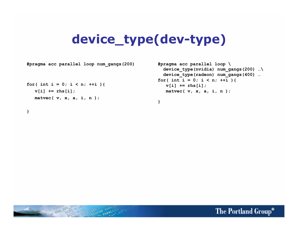### **device\_type(dev-type)**

**#pragma acc parallel loop num\_gangs(200)** 

```
for( int i = 0; i < n; ++i ){
  v[i] += rhs[i];
   matvec( v, x, a, i, n );
```
**}** 

```
#pragma acc parallel loop \ 
  device_type(nvidia) num_gangs(200) …\ 
  device_type(radeon) num_gangs(400) … 
for( int i = 0; i < n; ++i ){
  v[i] += rhs[i];
   matvec( v, x, a, i, n );
```
**}** 

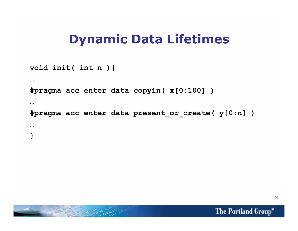#### **Dynamic Data Lifetimes**

```
void init( int n ){ 
… 
#pragma acc enter data copyin( x[0:100] ) 
… 
#pragma acc enter data present_or_create( y[0:n] ) 
… 
}
```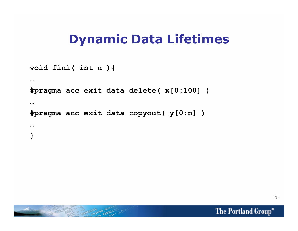#### **Dynamic Data Lifetimes**

```
void fini( int n ){ 
… 
#pragma acc exit data delete( x[0:100] ) 
… 
#pragma acc exit data copyout( y[0:n] ) 
… 
}
```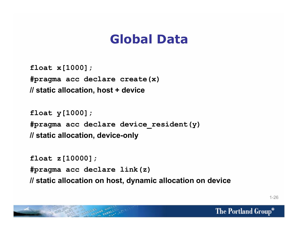## **Global Data**

**float x[1000]; #pragma acc declare create(x) // static allocation, host + device** 

**float y[1000]; #pragma acc declare device\_resident(y) // static allocation, device-only** 

**float z[10000]; #pragma acc declare link(z) // static allocation on host, dynamic allocation on device** 

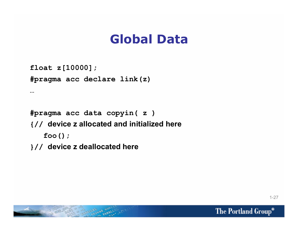## **Global Data**

```
float z[10000];
```
**…** 

```
#pragma acc declare link(z)
```

```
#pragma acc data copyin( z ) 
{// device z allocated and initialized here 
    foo();
```

```
}// device z deallocated here
```
1-27

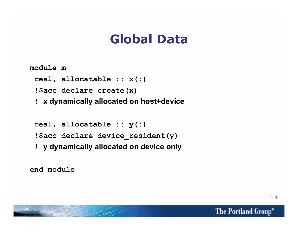## **Global Data**

**module m** 

 **real, allocatable :: x(:)** 

 **!\$acc declare create(x)** 

 **! x dynamically allocated on host+device** 

 **real, allocatable :: y(:) !\$acc declare device\_resident(y) ! y dynamically allocated on device only** 

**end module**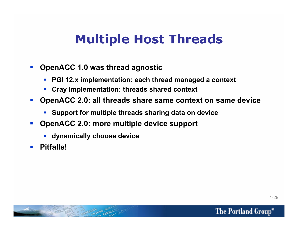## **Multiple Host Threads**

- ! **OpenACC 1.0 was thread agnostic** 
	- ! **PGI 12.x implementation: each thread managed a context**
	- ! **Cray implementation: threads shared context**
- ! **OpenACC 2.0: all threads share same context on same device** 
	- ! **Support for multiple threads sharing data on device**
- ! **OpenACC 2.0: more multiple device support** 
	- ! **dynamically choose device**
- ! **Pitfalls!**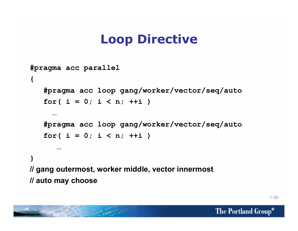# **Loop Directive**

```
#pragma acc parallel 
{ 
    #pragma acc loop gang/worker/vector/seq/auto 
   for( i = 0; i < n; ++i)
 … 
    #pragma acc loop gang/worker/vector/seq/auto 
    for( i = 0; i < n; ++i ) 
 … 
} 
// gang outermost, worker middle, vector innermost 
// auto may choose
```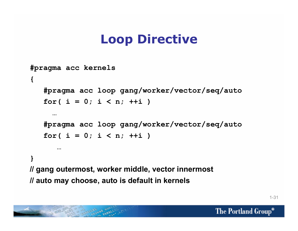# **Loop Directive**

```
#pragma acc kernels 
{ 
    #pragma acc loop gang/worker/vector/seq/auto 
   for( i = 0; i < n; ++i)
 … 
    #pragma acc loop gang/worker/vector/seq/auto 
    for( i = 0; i < n; ++i ) 
 … 
} 
// gang outermost, worker middle, vector innermost 
// auto may choose, auto is default in kernels
```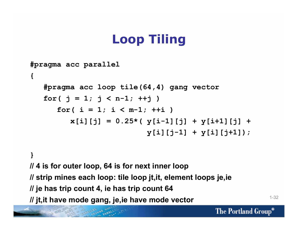# **Loop Tiling**

```
#pragma acc parallel 
{ 
    #pragma acc loop tile(64,4) gang vector 
   for( j = 1; j < n-1; ++j )
      for( i = 1; i < m-1; ++i )
         x[i][j] = 0.25*(y[i-1][j] + y[i+1][j] + y[i][j-1] + y[i][j+1]);
```
**} // 4 is for outer loop, 64 is for next inner loop // strip mines each loop: tile loop jt,it, element loops je,ie // je has trip count 4, ie has trip count 64 // jt,it have mode gang, je,ie have mode vector**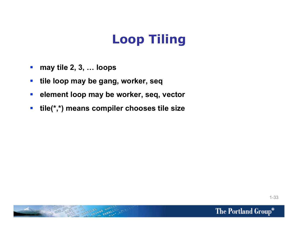# **Loop Tiling**

- $\blacksquare$  may tile 2, 3, ... loops
- $\blacksquare$  **tile loop may be gang, worker, seq**
- ! **element loop may be worker, seq, vector**
- ! **tile(\*,\*) means compiler chooses tile size**

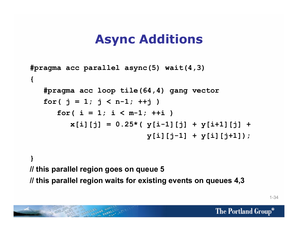## **Async Additions**

```
#pragma acc parallel async(5) wait(4,3) 
{ 
    #pragma acc loop tile(64,4) gang vector 
   for( j = 1; j < n-1; ++j )
      for( i = 1; i < m-1; ++i )
         x[i][j] = 0.25*(y[i-1][j] + y[i+1][j] + y[i][j-1] + y[i][j+1]);
```
#### **} // this parallel region goes on queue 5 // this parallel region waits for existing events on queues 4,3**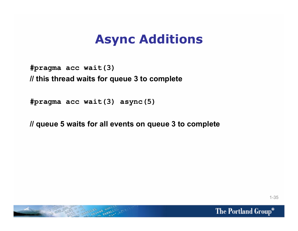## **Async Additions**

#### **#pragma acc wait(3) // this thread waits for queue 3 to complete**

**#pragma acc wait(3) async(5)** 

**// queue 5 waits for all events on queue 3 to complete** 

1-35

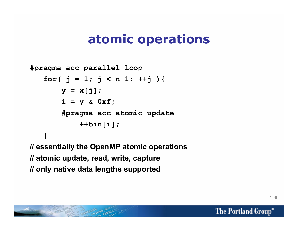### **atomic operations**

```
#pragma acc parallel loop 
   for( j = 1; j < n-1; ++j ){
        y = x[i];i = y \& 0xf; #pragma acc atomic update 
              ++bin[i]; 
 } 
// essentially the OpenMP atomic operations 
// atomic update, read, write, capture 
// only native data lengths supported
```
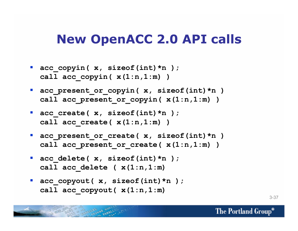#### **New OpenACC 2.0 API calls**

- **acc\_copyin( x, sizeof(int)\*n ); call acc\_copyin( x(1:n,1:m) )**
- **acc\_present\_or\_copyin( x, sizeof(int)\*n )** call acc present or copyin(  $x(1:n,1:m)$  )
- **acc\_create( x, sizeof(int)\*n ); call acc\_create( x(1:n,1:m) )**
- **acc\_present\_or\_create( x, sizeof(int)\*n )** call acc present or create( $x(1:n,1:m)$ )
- **acc delete( x, sizeof(int)\*n ); call acc\_delete ( x(1:n,1:m)**
- **acc\_copyout( x, sizeof(int)\*n ); call acc\_copyout( x(1:n,1:m)**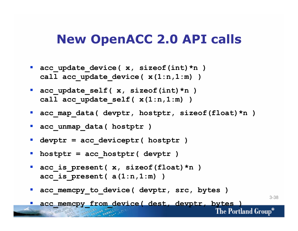#### **New OpenACC 2.0 API calls**

- **acc** update device( x, sizeof(int)\*n ) call acc update device  $(x(1:n,1:m) )$
- **acc** update self( x, sizeof(int)\*n ) call acc update self( $x(1:n,1:m)$ )
- **acc map data( devptr, hostptr, sizeof(float)\*n )**
- **acc** unmap data ( hostptr )
- ! **devptr = acc\_deviceptr( hostptr )**
- ! **hostptr = acc\_hostptr( devptr )**
- **acc\_is\_present( x, sizeof(float)\*n ) acc\_is\_present( a(1:n,1:m) )**
- **acc\_memcpy\_to\_device( devptr, src, bytes )**

3-38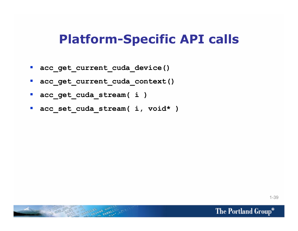#### **Platform-Specific API calls**

- ! **acc\_get\_current\_cuda\_device()**
- **acc** get current cuda context()
- **acc** get cuda stream( i )
- **acc** set cuda stream( i, void\* )

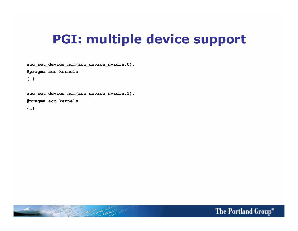#### **PGI: multiple device support**

**acc\_set\_device\_num(acc\_device\_nvidia,0);** 

**#pragma acc kernels** 

**{…}** 

**acc\_set\_device\_num(acc\_device\_nvidia,1);** 

Lingua dansalling

**#pragma acc kernels** 

**{…}** 

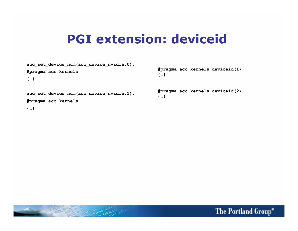#### **PGI extension: deviceid**

**acc\_set\_device\_num(acc\_device\_nvidia,0);** 

**#pragma acc kernels** 

**{…}** 

**acc\_set\_device\_num(acc\_device\_nvidia,1);** 

**#pragma acc kernels** 

**{…}** 

**#pragma acc kernels deviceid(1) {…}** 

**#pragma acc kernels deviceid(2) {…}** 

The Portland Group®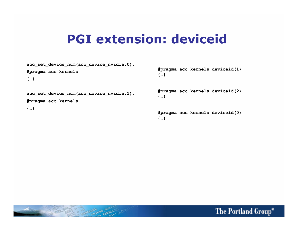#### **PGI extension: deviceid**

| acc set device num(acc device nvidia,0);<br>#pragma acc kernels<br>${}$ | #pragma acc kernels deviceid(1)<br>${,}$         |
|-------------------------------------------------------------------------|--------------------------------------------------|
| acc set device num(acc device nvidia,1);<br>#pragma acc kernels         | #pragma acc kernels deviceid(2)<br>${,}$         |
| ${}$                                                                    | #pragma acc kernels deviceid(0)<br>$\{ \dots \}$ |

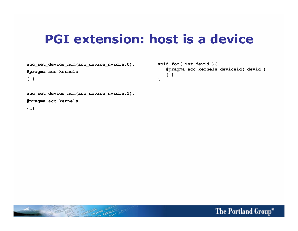#### **PGI extension: host is a device**

**acc\_set\_device\_num(acc\_device\_nvidia,0);** 

**#pragma acc kernels** 

**{…}** 

**void foo( int devid ){ #pragma acc kernels deviceid( devid ) {…} }** 

**acc\_set\_device\_num(acc\_device\_nvidia,1);** 

**#pragma acc kernels** 

**{…}** 

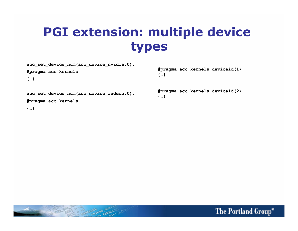## **PGI extension: multiple device types**

**acc\_set\_device\_num(acc\_device\_nvidia,0);** 

**#pragma acc kernels** 

**{…}** 

**{…}** 

**#pragma acc kernels deviceid(1)** 

**acc\_set\_device\_num(acc\_device\_radeon,0);** 

**#pragma acc kernels** 

**{…}** 

**#pragma acc kernels deviceid(2) {…}** 

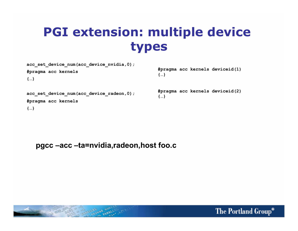## **PGI extension: multiple device types**

**{…}** 

**acc\_set\_device\_num(acc\_device\_nvidia,0);** 

**#pragma acc kernels** 

**{…}** 

**acc\_set\_device\_num(acc\_device\_radeon,0);** 

**#pragma acc kernels** 

**{…}** 

**#pragma acc kernels deviceid(2) {…}** 

**#pragma acc kernels deviceid(1)** 

**pgcc –acc –ta=nvidia,radeon,host foo.c**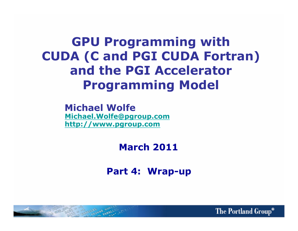**GPU Programming with CUDA (C and PGI CUDA Fortran) and the PGI Accelerator Programming Model** 

> **Michael Wolfe Michael.Wolfe@pgroup.com http://www.pgroup.com**

> > **March 2011**

**Part 4: Wrap-up** 

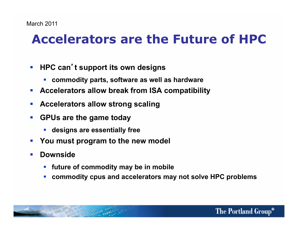# **Accelerators are the Future of HPC**

- **EXTER 19 HPC can't support its own designs** 
	- ! **commodity parts, software as well as hardware**
- ! **Accelerators allow break from ISA compatibility**
- ! **Accelerators allow strong scaling**
- ! **GPUs are the game today** 
	- ! **designs are essentially free**
- ! **You must program to the new model**
- ! **Downside** 
	- ! **future of commodity may be in mobile**
	- ! **commodity cpus and accelerators may not solve HPC problems**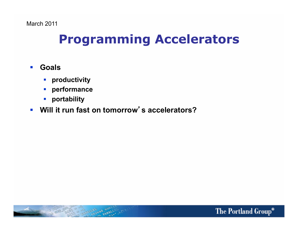## **Programming Accelerators**

#### ! **Goals**

- ! **productivity**
- ! **performance**
- ! **portability**

#### **Will it run fast on tomorrow's accelerators?**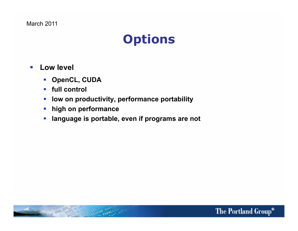March 2011

### **Options**

- ! **Low level** 
	- ! **OpenCL, CUDA**
	- ! **full control**
	- **-** low on productivity, performance portability
	- ! **high on performance**
	- **.** language is portable, even if programs are not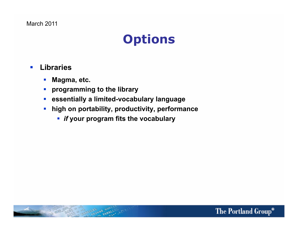March 2011

## **Options**

#### ! **Libraries**

- ! **Magma, etc.**
- ! **programming to the library**
- ! **essentially a limited-vocabulary language**
- ! **high on portability, productivity, performance** 
	- ! *if* **your program fits the vocabulary**

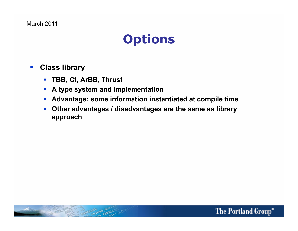March 2011

## **Options**

- ! **Class library** 
	- ! **TBB, Ct, ArBB, Thrust**
	- ! **A type system and implementation**
	- ! **Advantage: some information instantiated at compile time**
	- ! **Other advantages / disadvantages are the same as library approach**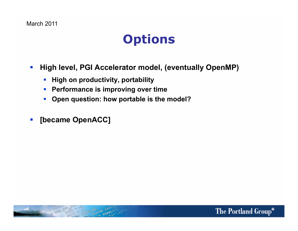## **Options**

- ! **High level, PGI Accelerator model, (eventually OpenMP)** 
	- **EXTE:** High on productivity, portability
	- ! **Performance is improving over time**
	- ! **Open question: how portable is the model?**
- ! **[became OpenACC]**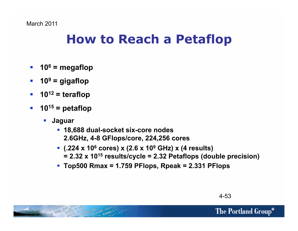## **How to Reach a Petaflop**

- $\blacksquare$  10<sup>6</sup> = megaflop
- $\blacksquare$  10<sup>9</sup> = gigaflop
- $\blacksquare$  **10<sup>12</sup>** = teraflop
- $\blacksquare$  10<sup>15</sup> = petaflop
	- ! **Jaguar** 
		- ! **18,688 dual-socket six-core nodes 2.6GHz, 4-8 GFlops/core, 224,256 cores**
		- ! **(.224 x 106 cores) x (2.6 x 109 GHz) x (4 results) = 2.32 x 1015 results/cycle = 2.32 Petaflops (double precision)**
		- ! **Top500 Rmax = 1.759 PFlops, Rpeak = 2.331 PFlops**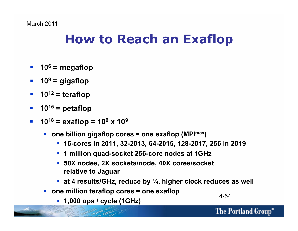## **How to Reach an Exaflop**

- $\blacksquare$  10<sup>6</sup> = megaflop
- $\blacksquare$  10<sup>9</sup> = gigaflop
- $\blacksquare$  **10<sup>12</sup>** = teraflop
- $\blacksquare$  10<sup>15</sup> = petaflop
- **10<sup>18</sup> = exaflop =**  $10^9$  **x**  $10^9$ 
	- **one billion gigaflop cores = one exaflop (MPI<sup>max</sup>)** 
		- ! **16-cores in 2011, 32-2013, 64-2015, 128-2017, 256 in 2019**
		- ! **1 million quad-socket 256-core nodes at 1GHz**
		- ! **50X nodes, 2X sockets/node, 40X cores/socket relative to Jaguar**
		- ! **at 4 results/GHz, reduce by ", higher clock reduces as well**
	- ! **one million teraflop cores = one exaflop** 
		- ! **1,000 ops / cycle (1GHz)** 4-54

The Portland Group®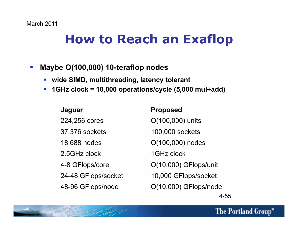## **How to Reach an Exaflop**

- ! **Maybe O(100,000) 10-teraflop nodes** 
	- ! **wide SIMD, multithreading, latency tolerant**
	- ! **1GHz clock = 10,000 operations/cycle (5,000 mul+add)**

| Jaguar              | <b>Proposed</b>       |
|---------------------|-----------------------|
| 224,256 cores       | O(100,000) units      |
| 37,376 sockets      | 100,000 sockets       |
| 18,688 nodes        | O(100,000) nodes      |
| 2.5GHz clock        | 1GHz clock            |
| 4-8 GFlops/core     | O(10,000) GFlops/unit |
| 24-48 GFlops/socket | 10,000 GFlops/socket  |
| 48-96 GFlops/node   | O(10,000) GFlops/node |
|                     |                       |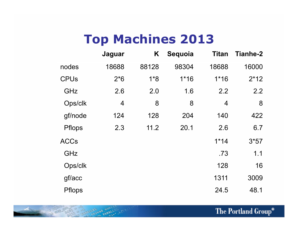## **Top Machines 2013**

|               | Jaguar | K     | Sequoia | <b>Titan</b> | <b>Tianhe-2</b> |
|---------------|--------|-------|---------|--------------|-----------------|
| nodes         | 18688  | 88128 | 98304   | 18688        | 16000           |
| <b>CPUs</b>   | $2*6$  | $1*8$ | $1*16$  | $1*16$       | $2*12$          |
| GHz           | 2.6    | 2.0   | 1.6     | 2.2          | 2.2             |
| Ops/clk       | 4      | 8     | 8       | 4            | 8               |
| gf/node       | 124    | 128   | 204     | 140          | 422             |
| <b>Pflops</b> | 2.3    | 11.2  | 20.1    | 2.6          | 6.7             |
| <b>ACCs</b>   |        |       |         | $1*14$       | $3*57$          |
| GHz           |        |       |         | .73          | 1.1             |
| Ops/clk       |        |       |         | 128          | 16              |
| gf/acc        |        |       |         | 1311         | 3009            |
| <b>Pflops</b> |        |       |         | 24.5         | 48.1            |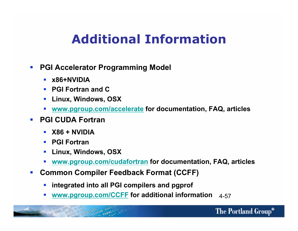## **Additional Information**

- ! **PGI Accelerator Programming Model** 
	- ! **x86+NVIDIA**
	- ! **PGI Fortran and C**
	- ! **Linux, Windows, OSX**
	- ! **www.pgroup.com/accelerate for documentation, FAQ, articles**
- ! **PGI CUDA Fortran** 
	- ! **X86 + NVIDIA**
	- ! **PGI Fortran**
	- ! **Linux, Windows, OSX**
	- ! **www.pgroup.com/cudafortran for documentation, FAQ, articles**
- ! **Common Compiler Feedback Format (CCFF)** 
	- ! **integrated into all PGI compilers and pgprof**
	- ! **www.pgroup.com/CCFF for additional information** 4-57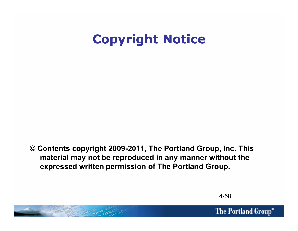# **Copyright Notice**

**© Contents copyright 2009-2011, The Portland Group, Inc. This material may not be reproduced in any manner without the expressed written permission of The Portland Group.** 



The Portland Group®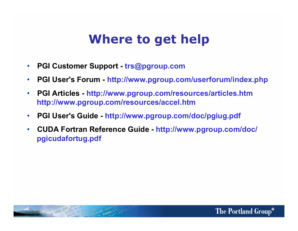## **Where to get help**

- **PGI Customer Support trs@pgroup.com**
- **PGI User's Forum http://www.pgroup.com/userforum/index.php**
- **PGI Articles http://www.pgroup.com/resources/articles.htm http://www.pgroup.com/resources/accel.htm**
- **PGI User's Guide http://www.pgroup.com/doc/pgiug.pdf**
- **CUDA Fortran Reference Guide http://www.pgroup.com/doc/ pgicudafortug.pdf**